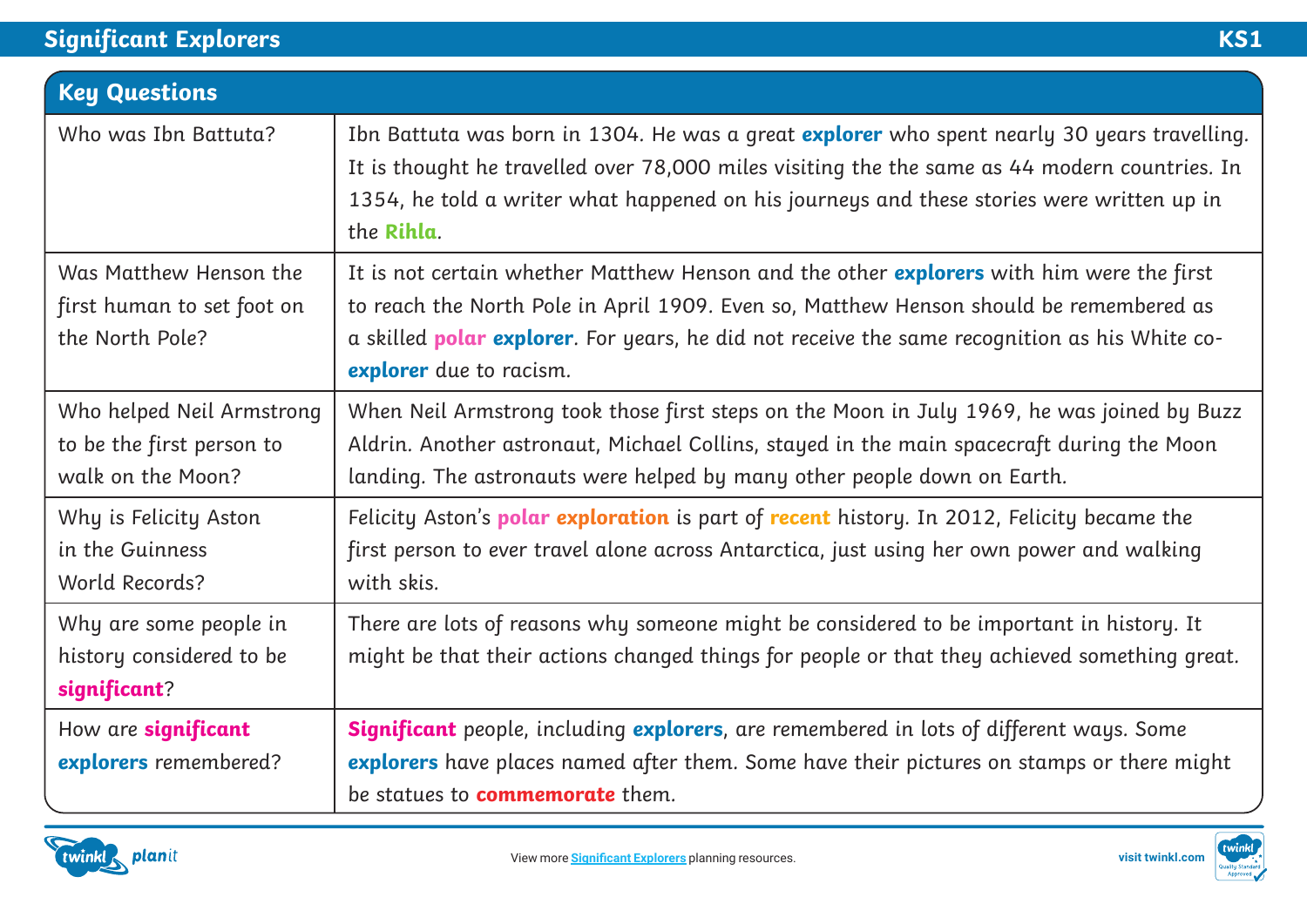## **Significant Explorers KS1**

| <b>Key Questions</b>                                                        |                                                                                                                                                                                                                                                                                                                        |
|-----------------------------------------------------------------------------|------------------------------------------------------------------------------------------------------------------------------------------------------------------------------------------------------------------------------------------------------------------------------------------------------------------------|
| Who was Ibn Battuta?                                                        | Ibn Battuta was born in 1304. He was a great <b>explorer</b> who spent nearly 30 years travelling.<br>It is thought he travelled over 78,000 miles visiting the the same as 44 modern countries. In<br>1354, he told a writer what happened on his journeys and these stories were written up in<br>the Rihla.         |
| Was Matthew Henson the<br>first human to set foot on<br>the North Pole?     | It is not certain whether Matthew Henson and the other explorers with him were the first<br>to reach the North Pole in April 1909. Even so, Matthew Henson should be remembered as<br>a skilled <b>polar explorer</b> . For years, he did not receive the same recognition as his White co-<br>explorer due to racism. |
| Who helped Neil Armstrong<br>to be the first person to<br>walk on the Moon? | When Neil Armstrong took those first steps on the Moon in July 1969, he was joined by Buzz<br>Aldrin. Another astronaut, Michael Collins, stayed in the main spacecraft during the Moon<br>landing. The astronauts were helped by many other people down on Earth.                                                     |
| Why is Felicity Aston<br>in the Guinness<br>World Records?                  | Felicity Aston's <b>polar exploration</b> is part of <b>recent</b> history. In 2012, Felicity became the<br>first person to ever travel alone across Antarctica, just using her own power and walking<br>with skis.                                                                                                    |
| Why are some people in<br>history considered to be<br>significant?          | There are lots of reasons why someone might be considered to be important in history. It<br>might be that their actions changed things for people or that they achieved something great.                                                                                                                               |
| How are significant<br>explorers remembered?                                | <b>Significant</b> people, including <i>explorers</i> , are remembered in lots of different ways. Some<br>explorers have places named after them. Some have their pictures on stamps or there might<br>be statues to <b>commemorate</b> them.                                                                          |